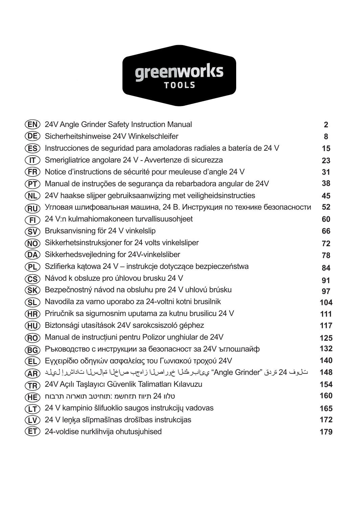# **greenworks**

|                                  | <b>(EN) 24V Angle Grinder Safety Instruction Manual</b>                                     | $\mathbf{2}$ |
|----------------------------------|---------------------------------------------------------------------------------------------|--------------|
| (DE)                             | Sicherheitshinweise 24V Winkelschleifer                                                     | 8            |
| (ES)                             | Instrucciones de seguridad para amoladoras radiales a batería de 24 V                       | 15           |
| (T)                              | Smerigliatrice angolare 24 V - Avvertenze di sicurezza                                      | 23           |
| (FR)                             | Notice d'instructions de sécurité pour meuleuse d'angle 24 V                                | 31           |
| (PT)                             | Manual de instruções de segurança da rebarbadora angular de 24V                             | 38           |
| (NL)                             | 24V haakse slijper gebruiksaanwijzing met veiligheidsinstructies                            | 45           |
| (RU)                             | Угловая шлифовальная машина, 24 В. Инструкция по технике безопасности                       | 52           |
| $\widehat{\mathsf{F}\mathsf{D}}$ | 24 V:n kulmahiomakoneen turvallisuusohjeet                                                  | 60           |
| (SV)                             | Bruksanvisning för 24 V vinkelslip                                                          | 66           |
| <b>(NO)</b>                      | Sikkerhetsinstruksjoner for 24 volts vinkelsliper                                           | 72           |
| (DA)                             | Sikkerhedsvejledning for 24V-vinkelsliber                                                   | 78           |
| (PL)                             | Szlifierka kątowa 24 V – instrukcje dotyczące bezpieczeństwa                                | 84           |
| (CS)                             | Návod k obsluze pro úhlovou brusku 24 V                                                     | 91           |
| (SK)                             | Bezpečnostný návod na obsluhu pre 24 V uhlovú brúsku                                        | 97           |
| (SL)                             | Navodila za varno uporabo za 24-voltni kotni brusilnik                                      | 104          |
| (HR)                             | Priručnik sa sigurnosnim uputama za kutnu brusilicu 24 V                                    | 111          |
| (HU)                             | Biztonsági utasítások 24V sarokcsiszoló géphez                                              | 117          |
| $(\overline{RO})$                | Manual de instrucțiuni pentru Polizor unghiular de 24V                                      | 125          |
| (BG)                             | Ръководство с инструкции за безопасност за 24V ъглошлайф                                    | 132          |
| (EL)                             | Εγχειρίδιο οδηγιών ασφαλείας του Γωνιακού τροχού 24V                                        | 140          |
| <b>AR</b>                        | تـلوف 24 قرنـق "Angle Grinder" يوعالبـرطـُفلا خور اصلا زاهجب صراخلا تم السرل اتداشر إلى يلد | 148          |
| $(\widehat{\texttt{TR}})$        | 24V Açılı Taşlayıcı Güvenlik Talimatları Kılavuzu                                           | 154          |
| (HE)                             | טלוו 24 תיווז תזחשמ :תוחיטב תוארוה תרבוח                                                    | 160          |
| (T)                              | 24 V kampinio šlifuoklio saugos instrukcijų vadovas                                         | 165          |
|                                  | (LV) 24 V leņķa slīpmašīnas drošības instrukcijas                                           | 172          |
| (ET)                             | 24-voldise nurklihvija ohutusjuhised                                                        | 179          |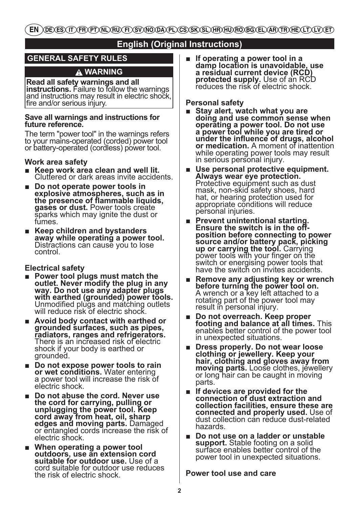EN \DE\ES\IT\FR\PT\NL\RU\FI\SV\NO\DA\PL\CS\SK\SL\HR\HU\RO\BG\EL\AR\TR\HE\LT\LV\ET)

# **English (Original Instructions)**

# **GENERAL SAFETY RULES**

# **WARNING**

**Read all safety warnings and all**  and instructions may result in electric shock, fire and/or serious injury.

### **Save all warnings and instructions for future reference.**

The term "power tool" in the warnings refers to your mains-operated (corded) power tool or battery-operated (cordless) power tool.

### **Work area safety**

- Keep work area clean and well lit. Cluttered or dark areas invite accidents.
- **Do not operate power tools in explosive atmospheres, such as in the presence of flammable liquids, gases or dust.** Power tools create sparks which may ignite the dust or fumes.
- Keep children and bystanders **away while operating a power tool.** Distractions can cause you to lose control.

## **Electrical safety**

- **Power tool plugs must match the outlet. Never modify the plug in any way. Do not use any adapter plugs with earthed (grounded) power tools.** Unmodified plugs and matching outlets will reduce risk of electric shock.
- **Avoid body contact with earthed or grounded surfaces, such as pipes, radiators, ranges and refrigerators.** There is an increased risk of electric shock if your body is earthed or grounded.
- **Do not expose power tools to rain**  a power tool will increase the risk of electric shock.
- Do not abuse the cord. Never use **the cord for carrying, pulling or unplugging the power tool. Keep cord away from heat, oil, sharp**  or entangled cords increase the risk of electric shock.
- When operating a power tool **outdoors, use an extension cord suitable for outdoor use.** Use of a cord suitable for outdoor use reduces the risk of electric shock.

■ **If operating a power tool in a damp location is unavoidable, use a residual current device (RCD) protected supply.** Use of an RCD reduces the risk of electric shock.

### **Personal safety**

- **Stay alert, watch what you are doing and use common sense when operating a power tool. Do not use a power tool while you are tired or under the influence of drugs, alcohol or medication.** A moment of inattention while operating power tools may result in serious personal injury.
- Use personal protective equipment. **Always wear eye protection.** Protective equipment such as dust mask, non-skid safety shoes, hard hat, or hearing protection used for appropriate conditions will reduce personal injuries.
- **Prevent unintentional starting. Ensure the switch is in the offposition before connecting to power source and/or battery pack, picking**  power tools with your finger on the switch or energising power tools that have the switch on invites accidents.
- **Remove any adjusting key or wrench before turning the power tool on.**<br>A wrench or a key left attached to a rotating part of the power tool may result in personal injury.
- **Do not overreach. Keep proper footing and balance at all times.** This enables better control of the power tool in unexpected situations.
- **Dress properly. Do not wear loose clothing or jewellery. Keep your hair, clothing and gloves away from moving parts.** Loose clothes, jewellery or long hair can be caught in moving parts.
- **If devices are provided for the connection of dust extraction and collection facilities, ensure these are connected and properly used.** Use of dust collection can reduce dust-related hazards.
- **Do not use on a ladder or unstable support.** Stable footing on a solid surface enables better control of the power tool in unexpected situations.

## **Power tool use and care**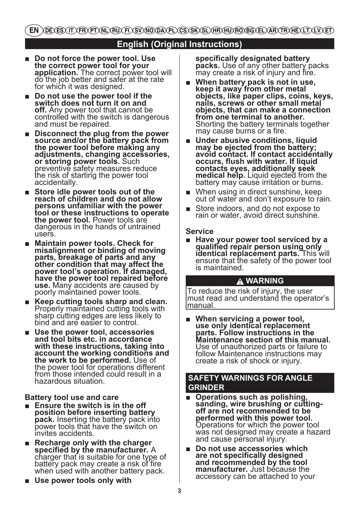# **English (Original Instructions)**

- **Do not force the power tool. Use the correct power tool for your**  do the job better and safer at the rate for which it was designed.
- **Do not use the power tool if the switch does not turn it on and off.** Any power tool that cannot be controlled with the switch is dangerous and must be repaired.
- **Disconnect the plug from the power source and/or the battery pack from the power tool before making any adjustments, changing accessories, or storing power tools.** Such preventive safety measures reduce the risk of starting the power tool accidentally.
- Store idle power tools out of the **reach of children and do not allow persons unfamiliar with the power tool or these instructions to operate the power tool.** Power tools are dangerous in the hands of untrained users.
- **Maintain power tools. Check for misalignment or binding of moving parts, breakage of parts and any other condition that may affect the power tool's operation. If damaged, have the power tool repaired before use.** Many accidents are caused by poorly maintained power tools.
- **Keep cutting tools sharp and clean.** Properly maintained cutting tools with sharp cutting edges are less likely to bind and are easier to control.
- **Use the power tool, accessories and tool bits etc. in accordance with these instructions, taking into account the working conditions and the work to be performed.** Use of the power tool for operations different from those intended could result in a hazardous situation.

### **Battery tool use and care**

- **Ensure the switch is in the off position before inserting battery pack.** Inserting the battery pack into<br>power tools that have the switch on invites accidents.
- **Recharge only with the charger specified by the manufacturer.** A charger that is suitable for one type of battery pack may create a risk of fire when used with another battery pack.
- Use power tools only with

**specifically designated battery**  may create a risk of injury and fire.

- **When battery pack is not in use, keep it away from other metal objects, like paper clips, coins, keys, nails, screws or other small metal objects, that can make a connection from one terminal to another.**  Shorting the battery terminals together may cause burns or a fire.
- Under abusive conditions, liquid **may be ejected from the battery; avoid contact. If contact accidentally occurs, flush with water. If liquid contacts eyes, additionally seek medical help.** Liquid ejected from the battery may cause irritation or burns.
- When using in direct sunshine, keep out of water and don't exposure to rain.
- Store indoors, and do not expose to rain or water, avoid direct sunshine.

### **Service**

■ **Have your power tool serviced by a qualified repair person using only identical replacement parts.** This will ensure that the safety of the power tool is maintained.

### **WARNING**

To reduce the risk of injury, the user must read and understand the operator's manual.

■ When servicing a power tool, **use only identical replacement parts. Follow instructions in the Maintenance section of this manual.** Use of unauthorized parts or failure to follow Maintenance instructions may create a risk of shock or injury.

## **SAFETY WARNINGS FOR ANGLE GRINDER**

- **Operations such as polishing, sanding, wire brushing or cuttingoff are not recommended to be performed with this power tool.** Operations for which the power tool was not designed may create a hazard and cause personal injury.
- **Do not use accessories which are not specifically designed and recommended by the tool manufacturer.** Just because the accessory can be attached to your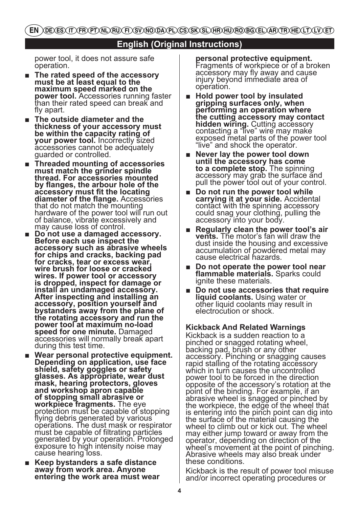EN \DE\ES\IT\FR\PT\NL\RU\FI\SV\NO\DA\PL\CS\SK\SL\HR\HU\RO\BQ\EL\AR\TR\HE\LT\LV\ET)

# **English (Original Instructions)**

power tool, it does not assure safe operation.

- **The rated speed of the accessory must be at least equal to the maximum speed marked on the power tool.** Accessories running faster than their rated speed can break and fly apart.
- The outside diameter and the **thickness of your accessory must be within the capacity rating of your power tool.** Incorrectly sized  $\overline{a}$  ccessories cannot be adequately guarded or controlled.
- **Threaded mounting of accessories must match the grinder spindle thread. For accessories mounted by flanges, the arbour hole of the accessory must fit the locating diameter of the flange.** Accessories that do not match the mounting hardware of the power tool will run out of balance, vibrate excessively and<br>may cause loss of control.
- **Do not use a damaged accessory. Before each use inspect the accessory such as abrasive wheels for chips and cracks, backing pad for cracks, tear or excess wear, wire brush for loose or cracked wires. If power tool or accessory is dropped, inspect for damage or install an undamaged accessory. After inspecting and installing an accessory, position yourself and bystanders away from the plane of the rotating accessory and run the power tool at maximum no-load**  accessories will normally break apart during this test time.
- Wear personal protective equipment. **Depending on application, use face shield, safety goggles or safety glasses. As appropriate, wear dust mask, hearing protectors, gloves and workshop apron capable of stopping small abrasive or**  protection must be capable of stopping flying debris generated by various operations. The dust mask or respirator must be capable of filtrating particles generated by your operation. Prolonged exposure to high intensity noise may cause hearing loss.
- **Keep bystanders a safe distance away from work area. Anyone entering the work area must wear**

**personal protective equipment.** Fragments of workpiece or of a broken accessory may fly away and cause injury beyond immediate area of operation.

- **Hold power tool by insulated gripping surfaces only, when performing an operation where the cutting accessory may contact hidden wiring.** Cutting accessory contacting a "live" wire may make exposed metal parts of the power tool "live" and shock the operator.
- **Never lay the power tool down until the accessory has come to a complete stop.** The spinning accessory may grab the surface and pull the power tool out of your control.
- **Do not run the power tool while carrying it at your side.** Accidental contact with the spinning accessory could snag your clothing, pulling the accessory into your body.
- **Regularly clean the power tool's air vents.** The motor's fan will draw the dust inside the housing and excessive accumulation of powdered metal may cause electrical hazards.
- Do not operate the power tool near **flammable materials.** Sparks could ignite these materials.
- **Do not use accessories that require liquid coolants.** Using water or other liquid coolants may result in electrocution or shock.

**Kickback And Related Warnings**

Kickback is a sudden reaction to a pinched or snagged rotating wheel, backing pad, brush or any other accessory. Pinching or snagging causes rapid stalling of the rotating accessory which in turn causes the uncontrolled power tool to be forced in the direction opposite of the accessory's rotation at the point of the binding. For example, if an abrasive wheel is snagged or pinched by the workpiece, the edge of the wheel that is entering into the pinch point can dig into the surface of the material causing the wheel to climb out or kick out. The wheel may either jump toward or away from the operator, depending on direction of the wheel's movement at the point of pinching. Abrasive wheels may also break under these conditions.

Kickback is the result of power tool misuse and/or incorrect operating procedures or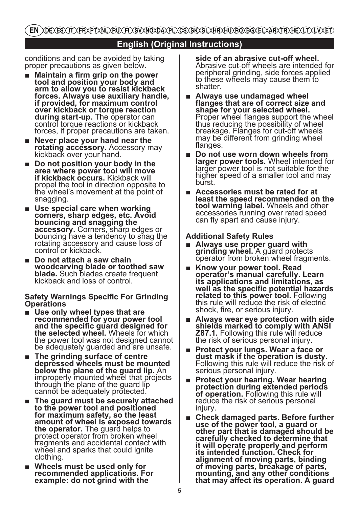EN \DE\ES\IT\FR\PT\NL\RU\FI\SV\NO\DA\PL\CS\SK\SL\HR\HU\RO\BQ\EL\AR\TR\HE\LT\LV\ET)

# **English (Original Instructions)**

conditions and can be avoided by taking proper precautions as given below.

- **Maintain a firm grip on the power tool and position your body and arm to allow you to resist kickback forces. Always use auxiliary handle, if provided, for maximum control over kickback or torque reaction during start-up.** The operator can control torque reactions or kickback forces, if proper precautions are taken.
- **Never place your hand near the rotating accessory.** Accessory may kickback over your hand.
- **Do not position your body in the area where power tool will move if kickback occurs.** Kickback will propel the tool in direction opposite to the wheel's movement at the point of snagging.
- Use special care when working **corners, sharp edges, etc. Avoid bouncing and snagging the**  bouncing have a tendency to snag the rotating accessory and cause loss of control or kickback.
- **Do not attach a saw chain woodcarving blade or toothed saw blade.** Such blades create frequent kickback and loss of control.

### **Safety Warnings Specific For Grinding Operations**

- Use only wheel types that are **recommended for your power tool and the specific guard designed for the selected wheel.** Wheels for which the power tool was not designed cannot be adequately guarded and are unsafe.
- **The grinding surface of centre depressed wheels must be mounted below the plane of the guard lip.** An improperly mounted wheel that projects through the plane of the guard lip cannot be adequately protected.
- **The guard must be securely attached to the power tool and positioned for maximum safety, so the least amount of wheel is exposed towards the operator.** The guard helps to protect operator from broken wheel fragments and accidental contact with wheel and sparks that could ignite clothing.
- **Wheels must be used only for recommended applications. For example: do not grind with the**

**side of an abrasive cut-off wheel.** Abrasive cut-off wheels are intended for peripheral grinding, side forces applied to these wheels may cause them to shatter.

- **Always use undamaged wheel flanges that are of correct size and shape for your selected wheel.** Proper wheel flanges support the wheel thus reducing the possibility of wheel breakage. Flanges for cut-off wheels may be different from grinding wheel flanges.
- Do not use worn down wheels from **larger power tools.** Wheel intended for larger power tool is not suitable for the higher speed of a smaller tool and may burst.
- **Accessories must be rated for at least the speed recommended on the tool warning label.** Wheels and other accessories running over rated speed can fly apart and cause injury.

## **Additional Safety Rules**

- Always use proper guard with<br>**grinding wheel.** A guard protects  $\overline{\text{o}}$  perator from broken wheel fragments.
- **Know your power tool. Read operator's manual carefully. Learn its applications and limitations, as well as the specific potential hazards**  this rule will reduce the risk of electric shock, fire, or serious injury.
- **Always wear eye protection with side shields marked to comply with ANSI<br><b>Z87.1.** Following this rule will reduce<br>the risk of serious personal injury.
- **Protect your lungs. Wear a face or dust mask if the operation is dusty.** Following this rule will reduce the risk of serious personal injury.
- **Protect your hearing. Wear hearing protection during extended periods of operation.** Following this rule will reduce the risk of serious personal injury.
- **Check damaged parts. Before further use of the power tool, a guard or other part that is damaged should be carefully checked to determine that it will operate properly and perform its intended function. Check for alignment of moving parts, binding of moving parts, breakage of parts, mounting, and any other conditions that may affect its operation. A guard**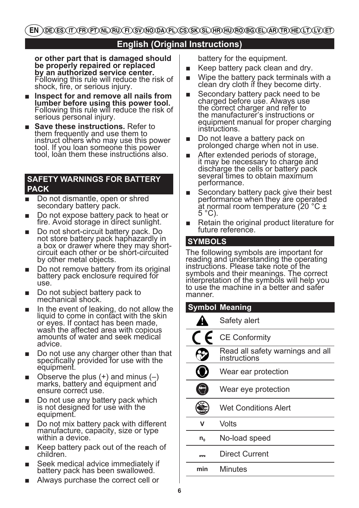# **English (Original Instructions)**

**or other part that is damaged should be properly repaired or replaced by an authorized service center.** Following this rule will reduce the risk of shock, fire, or serious injury.

- **Inspect for and remove all nails from lumber before using this power tool.**  Following this rule will reduce the risk of serious personal injury.
- **Save these instructions.** Refer to them frequently and use them to instruct others who may use this power tool. If you loan someone this power tool, loan them these instructions also.

## **SAFETY WARNINGS FOR BATTERY PACK**

- Do not dismantle, open or shred secondary battery pack.
- Do not expose battery pack to heat or fire. Avoid storage in direct sunlight.
- Do not short-circuit battery pack. Do not store battery pack haphazardly in a box or drawer where they may shortcircuit each other or be short-circuited by other metal objects.
- Do not remove battery from its original battery pack enclosure required for use.
- Do not subject battery pack to mechanical shock.
- In the event of leaking, do not allow the liquid to come in contact with the skin or eyes. If contact has been made, wash the affected area with copious amounts of water and seek medical advice.
- Do not use any charger other than that specifically provided for use with the equipment.
- Observe the plus  $(+)$  and minus  $(-)$ marks, battery and equipment and ensure correct use.
- Do not use any battery pack which is not designed for use with the equipment.
- Do not mix battery pack with different manufacture, capacity, size or type within a device.
- Keep battery pack out of the reach of children.
- Seek medical advice immediately if battery pack has been swallowed.
- Always purchase the correct cell or

battery for the equipment.

- Keep battery pack clean and dry.
- Wipe the battery pack terminals with a clean dry cloth if they become dirty.
- Secondary battery pack need to be. charged before use. Always use the correct charger and refer to the manufacturer's instructions or equipment manual for proper charging instructions.
- Do not leave a battery pack on prolonged charge when not in use.
- After extended periods of storage, it may be necessary to charge and discharge the cells or battery pack several times to obtain maximum performance.
- Secondary battery pack give their best performance when they are operated at normal room temperature (20 °C ±  $5^{\circ}$ C).
- Retain the original product literature for future reference.

# **SYMBOLS**

The following symbols are important for reading and understanding the operating instructions. Please take note of the symbols and their meanings. The correct interpretation of the symbols will help you to use the machine in a better and safer manner.

| <b>Symbol Meaning</b> |                                                  |  |  |  |  |
|-----------------------|--------------------------------------------------|--|--|--|--|
|                       | Safety alert                                     |  |  |  |  |
|                       | <b>CE Conformity</b>                             |  |  |  |  |
|                       | Read all safety warnings and all<br>instructions |  |  |  |  |
|                       | Wear ear protection                              |  |  |  |  |
|                       | Wear eye protection                              |  |  |  |  |
|                       | Wet Conditions Alert                             |  |  |  |  |
| v                     | Volts                                            |  |  |  |  |
| $n_{o}$               | No-load speed                                    |  |  |  |  |
| ᅮ                     | Direct Current                                   |  |  |  |  |
| min                   | Minutes                                          |  |  |  |  |
|                       |                                                  |  |  |  |  |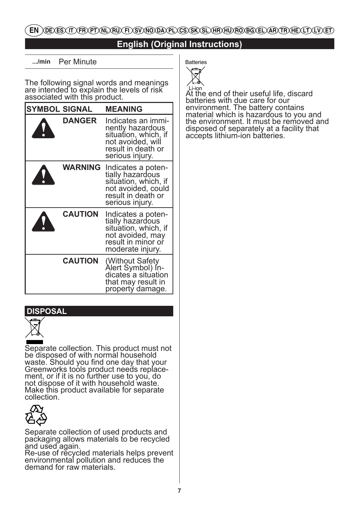# EN )DEXES (IT )FR PT (NU RU FT SV NO DA PL ) CS (SK SL )HR HU RO BG (EL )AR (TR HE LI ) LV (ET

# **English (Original Instructions)**

**.../min** Per Minute

The following signal words and meanings are intended to explain the levels of risk associated with this product.

| <b>SYMBOL SIGNAL</b> | <b>MEANING</b>                                                                                                                |
|----------------------|-------------------------------------------------------------------------------------------------------------------------------|
| <b>DANGER</b>        | Indicates an immi-<br>nently hazardous<br>situation, which, if<br>not avoided, will<br>result in death or<br>serious injury.  |
| WARNING              | Indicates a poten-<br>tially hazardous<br>situation, which, if<br>not avoided, could<br>result in death or<br>serious injury. |
| <b>CAUTION</b>       | Indicates a poten-<br>tially hazardous<br>situation, which, if<br>not avoided, may<br>result in minor or<br>moderate injury.  |
| <b>CAUTION</b>       | (Without Safety)<br>Alert Symbol) In-<br>dicates a situation<br>that may result in<br>propertý damage.                        |

## **DISPOSAL**



Separate collection. This product must not be disposed of with normal household waste. Should you find one day that your Greenworks tools product needs replace- ment, or if it is no further use to you, do not dispose of it with household waste. Make this product available for separate collection.



Separate collection of used products and packaging allows materials to be recycled

and used again. Re-use of recycled materials helps prevent environmental pollution and reduces the demand for raw materials.



Li-ion At the end of their useful life, discard batteries with due care for our environment. The battery contains material which is hazardous to you and the environment. It must be removed and disposed of separately at a facility that accepts lithium-ion batteries.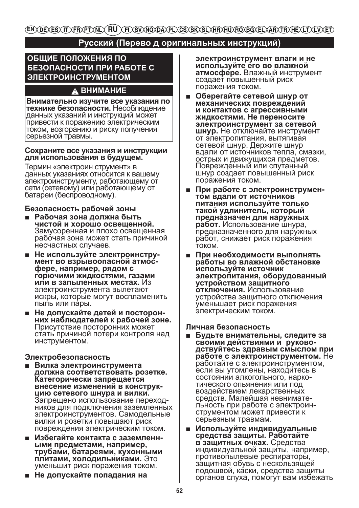(en)(de)(es)(it)(fr)(pt)(nl)( **RU** (F) SV/NO/DA/PL/CS/SK/SL/HR/HU/RO/BG/EL/AR/TR/HE/LT/LV/ET

# Русский (Перево д оригинальных инструкций)

# ОБЩИЕ ПОЛОЖЕНИЯ ПО БЕЗОПАСНОСТИ ПРИ РАБОТЕ С **ЭЛЕКТРОИНСТРУМЕНТОМ**

# A BHUMAHUE

Внимательно изучите все указания по технике безопасности. Несоблюдение данных указаний и инструкций может привести к поражению электрическим током, возгоранию и риску получения серьезной травмы.

### Сохраните все указания и инструкции для использования в будущем.

Термин «электроин струмент» в данных указаниях относится к вашему электройнструменту, работающему от сети (сетевому) или работающему от батареи (беспроводному).

### Безопасность рабочей зоны

- Рабочая зона должна быть чистой и хорошо освещенной. Замусоренная и плохо освещенная рабочая зона может стать причиной несчастных случаев.
- Не используйте электроинструмент во взрывоопасной атмосфере, например, рядом с горючими жидкостями, газами или в запыленных местах. Из электроинструмента вылетают искры, которые могут воспламенить пыль или пары.
- Не допускайте детей и посторонних наблюдателей к рабочей зоне. Присутствие посторонних может стать причиной потери контроля над инструментом.

### Электробезопасность

- Вилка электроинструмента должна соответствовать розетке. Категорически запрещается внесение изменений в конструкцию сетевого шнура и вилки. Запрещено использование переходников для подключения заземленных электроинструментов. Самодельные вилки и розетки повышают риск повреждения электрическим током.
- Избегайте контакта с заземленными предметами, например. трубами, батареями, кухонными плитами, холодильниками. Это уменьшит риск поражения током.
- Не допускайте попадания на

электроинструмент влаги и не используйте его во влажной атмосфере. Влажный инструмент создает повышенный риск поражения током.

- Оберегайте сетевой шнур от механических повреждений и контактов с агрессивными жидкостями. Не переносите электроинструмент за сетевой шнур. Не отключайте инструмент от электропитания, вытягивая сетевой шнур. Держите шнур вдали от источников тепла, смазки, острых и движущихся предметов. Поврежденный или спутанный шнур создает повышенный риск поражения током.
- При работе с электроинструментом вдали от источников питания используйте только такой удлинитель, который предназначен для наружных работ. Использование шнура. предназначенного для наружных работ, снижает риск поражения током
- При необходимости выполнять работы во влажной обстановке используйте источник электропитания, оборудованный устройством защитного отключения. Использование устройства защитного отключения уменьшает риск поражения электрическим током.

### Личная безопасность

- Будьте внимательны, следите за своими действиями и руководствуйтесь здравым смыслом при работе с электроинструментом. Не работайте с электроинструментом, если вы утомлены, находитесь в состоянии алкогольного, наркотического опьянения или под воздействием лекарственных средств. Малейшая невнимательность при работе с электроинструментом может привести к серьезным травмам.
- Используйте индивидуальные средства защиты. Работайте в защитных очках. Средства индивидуальной защиты, например, противопылевые респираторы, защитная обувь с нескользящей подошвой, каски, средства защиты органов слуха, помогут вам избежать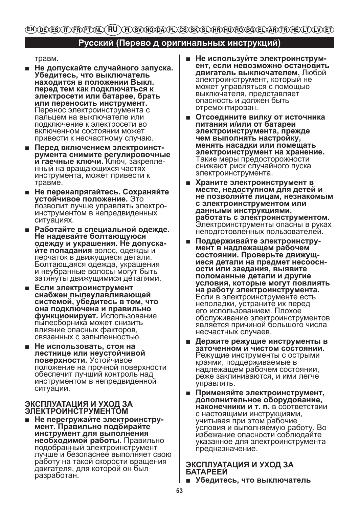(en)(de)(es)(it)(fr)(pt)(nl)( **ru** (FI)(SV)(NO)(DA)(PL)(CS)(SK)(SL)(HR)(HU)(RO)(BG)(EL)(AR)(TR)(HE)(LT)(LV)(ET)

# Русский (Перево д оригинальных инструкций)

травм.

- Не допускайте случайного запуска. Убедитесь, что выключатель находится в положении Выкл. перед тем как подключаться к электросети или батарее, брать или переносить инструмент. Перенос электроинструмента с пальцем на выключателе или подключение к электросети во включенном состоянии может привести к несчастному случаю.
- Перед включением электроинструмента снимите регулировочные и гаечные ключи. Ключ, закрепленный на вращающихся частях инструмента, может привести к травме.
- Не перенапрягайтесь. Сохраняйте устойчивое положение. Это позволит лучше управлять электроинструментом в непредвиденных ситуациях.
- Работайте в специальной одежде. Не надевайте болтающуюся одежду и украшения. Не допускайте попадания волос, одежды и перчаток в движущиеся детали. Болтающаяся одежда, украшения и неубранные волосы могут быть затянуты движущимися деталями.
- Если электроинструмент снабжен пылеулавливающей системой, убедитесь в том, что она подключена и правильно функционирует. Использование пылесборника может снизить влияние опасных факторов. связанных с запыленностью.
- Не использовать, стоя на лестнице или неустойчивой поверхности. Устойчивое положение на прочной поверхности обеспечит лучший контроль над инструментом в непредвиденной ситуации.

### ЭКСПЛУАТАЦИЯ И УХОД ЗА **ЭЛЕКТРОИНСТРУМЕНТОМ**

Не перегружайте электроинструп мент. Правильно подбирайте инструмент для выполнения необходимой работы. Правильно подобранный электроинструмент лучше и безопаснее выполняет свою работу на такой скорости вращения двигателя, для которой он был разработан.

- Не используйте электроинструм- $\blacksquare$ ент. если невозможно остановить двигатель выключателем. Любой электроинструмент, который не может управляться с помощью выключателя, представляет опасность и должен быть отремонтирован.
- Отсоедините вилку от источника питания и/или от батареи электроинструмента, прежде чем выполнять настройку, менять насадки или помещать электроинструмент на хранение. Такие меры предосторожности снижают риск случайного пуска электроинструмента.
- Храните электроинструмент в месте, недоступном для детей и не позволяйте лицам, незнакомым с электроинструментом или данными инструкциями, работать с электроинструментом. Электроинструменты опасны в руках неподготовленных пользователей.
- Поддерживайте электроинструмент в надлежащем рабочем состоянии. Проверьте движущиеся детали на предмет несоосности или заедания, выявите поломанные детали и другие условия, которые могут повлиять на работу электроинструмента. Если в электроинструменте есть неполадки, устраните их перед его использованием. Плохое обслуживание электроинструментов является причиной большого числа несчастных случаев.
- Держите режущие инструменты в заточенном и чистом состоянии. Режущие инструменты с острыми краями, поддерживаемые в надлежащем рабочем состоянии, реже заклиниваются, и ими легче управлять.
- Применяйте электроинструмент, дополнительное оборудование, наконечники и т. п. в соответствии с настоящими инструкциями, учитывая при этом рабочие условия и выполняемую работу. Во избежание опасности соблюдайте указанное для электроинструмента предназначение.

### ЭКСПЛУАТАЦИЯ И УХОД ЗА **БАТАРЕЕИ**

■ Убедитесь, что выключатель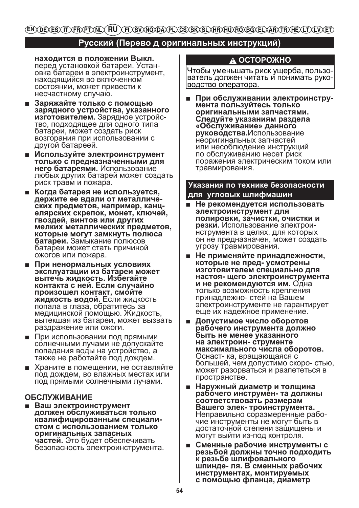# (EN) DE) ES) (IT) FR) PT) NL) (FL) RT) ST) NTO DA) PL) CS) ST) SL) HR) HTU) FTO BG) EL) AR) (TR) HE) (LT) (LT)

# **Русский (Перево д оригинальных инструкций)**

**находится в положении Выкл.**  перед установкой батареи. Установка батареи в электроинструмент, находящийся во включенном состоянии, может привести к несчастному случаю.

- **Заряжайте только с помощью зарядного устройства, указанного изготовителем.** Зарядное устройство, подходящее для одного типа батареи, может создать риск возгорания при использовании с другой батареей.
- **Используйте электроинструмент только с предназначенными для него батареями.** Использование любых других батарей может создать риск травм и пожара.
- **Когда батарея не используется, держите ее вдали от металлических предметов, например, канцелярских скрепок, монет, ключей, гвоздей, винтов или других мелких металлических предметов, которые могут замкнуть полюса батареи.** Замыкание полюсов батареи может стать причиной ожогов или пожара.
- **При ненормальных условиях эксплуатации из батареи может вытечь жидкость. Избегайте контакта с ней. Если случайно произошел контакт, смойте жидкость водой.** Если жидкость попала в глаза, обратитесь за медицинской помощью. Жидкость, вытекшая из батареи, может вызвать раздражение или ожоги.
- При использовании под прямыми солнечными лучами не допускайте попадания воды на устройство, а также не работайте под дождем.
- Храните в помещении, не оставляйте под дождем, во влажных местах или под прямыми солнечными лучами.

### **ОБСЛУЖИВАНИЕ**

■ **Ваш электроинструмент должен обслуживаться только квалифицированным специалистом с использованием только оригинальных запасных частей.** Это будет обеспечивать безопасность электроинструмента.

# **ОСТОРОЖНО**

Чтобы уменьшать риск ущерба, пользователь должен читать и понимать руководство оператора.

■ **При обслуживании электроинструмента пользуйтесь только оригинальными запчастями. Следуйте указаниям раздела «Обслуживание» данного руководства.**Использование неоригинальных запчастей или несоблюдение инструкций по обслуживанию несет риск поражения электрическим током или травмирования.

### **Указания по технике безопасности для угловых шлифмашин**

- **Не рекомендуется использовать электроинструмент для полировки, зачистки, очистки и резки.** Использование электроинструмента в целях, для которых он не предназначен, может создать угрозу травмирования.
- **Не применяйте принадлежности, которые не пред- усмотрены изготовителем специально для настоя- щего электроинструмента и не рекомендуются им.** Одна только возможность крепления принадлежно- стей на Вашем электроинструменте не гарантирует еще их надежное применение.
- **Допустимое число оборотов рабочего инструмента должно быть не менее указанного на электроин- струменте максимального числа оборотов.**  Оснаст- ка, вращающаяся с большей, чем допустимо скоро- стью, может разорваться и разлететься в пространстве.
- **Наружный диаметр и толщина рабочего инструмен- та должны соответствовать размерам Вашего элек- троинструмента.**  Неправильно соразмеренные рабочие инструменты не могут быть в достаточной степени защищены и могут выйти из-под контроля.
- **Сменные рабочие инструменты с резьбой должны точно подходить к резьбе шлифовального шпинде- ля. В сменных рабочих инструментах, монтируемых с помощью фланца, диаметр**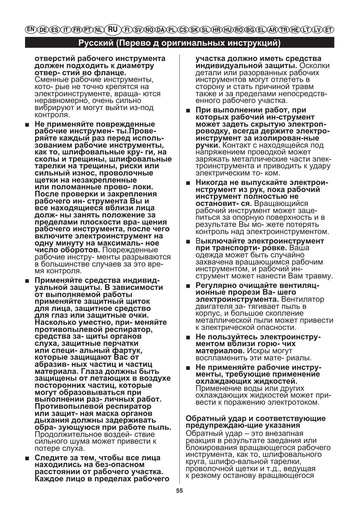# Русский (Перево д оригинальных инструкций)

отверстий рабочего инструмента должен подходить к диаметру отвер- стий во фланце.

Сменные рабочие инструменты, кото- рые не точно крепятся на электроинструменте, враща- ются неравномерно, очень сильно вибрируют и могут выйти из-под контроля.

- Не применяйте поврежденные рабочие инструмен- ты. Проверяйте каждый раз перед исполь-<br>зованием рабочие инструменты, как то, шлифовальные кру- ги, на сколы и трещины, шлифовальные тарелки на трещины, риски или сильный износ, проволочные щетки на незакрепленные или поломанные прово- локи. После проверки и закрепления рабочего ин- струмента Вы и все находящиеся вблизи лица долж-ны занять положение за пределами плоскости вра- щения рабочего инструмента, после чего включите электроинструмент на одну минуту на максималь-ное число оборотов. Поврежденные рабочие инстру- менты разрываются в большинстве случаев за это время контроля.
- ∎ Применяйте средства индивид-<br>уальной защиты. В зависимости от выполняемой работы применяйте защитный щиток для лица, защитное средство для глаз или защитные очки. Насколько уместно, при- меняйте противопылевой респиратор, средства за- щиты органов слуха, защитные перчатки или специ- альный фартук, которые защищают Вас от абразив-ных частиц и частиц материала. Глаза должны быть защищены от летающих в воздухе посторонних частиц, которые могут образовываться при выполнении раз-личных работ. Противопылевой респиратор или защит-ная маска органов дыхания должны задерживать обра-зующуюся при работе пыль. I Іродолжительное воздей- ствие сильного шума может привести к потере слуха.
- Следите за тем. чтобы все лица находились на без-опасном расстоянии от рабочего участка. Каждое лицо в пределах рабочего

участка должно иметь средства индивидуальной защиты. Осколки детали или разорванных рабочих инструментов могут отлететь в сторону и стать причиной травм также и за пределами непосредственного рабочего участка.

- При выполнении работ, при которых рабочий ин-струмент может задеть скрытую электропроводку, всегда держите электроинструмент за изолирован-ные ручки. Контакт с находящейся под напряжением проводкой может заряжать металлические части электроинструмента и приводить к удару электрическим то-ком.
- Никогда не выпускайте электроинструмент из рук, пока рабочий инструмент полностью не остановит- ся. Вращающийся рабочий инструмент может зацепиться за опорную поверхность и в результате Вы мо-жете потерять контроль над электроинструментом.
- Выключайте электроинструмент при транспорти- ровке. Ваша одежда может быть случайно захвачена врашающимся рабочим инструментом, и рабочий инструмент может нанести Вам травму.
- Регулярно очищайте вентиляционные прорези Ва-шего электроинструмента. Вентилятор двигателя за- тягивает пыль в корпус, и большое скопление металлической пыли может привести к электрической опасности.
- Не пользуйтесь электроинструментом вблизи горю- чих материалов. Искры могут воспламенить эти мате- риалы.
- Не применяйте рабочие инструменты, требующие применение охлаждающих жидкостей. Применение воды или других охлаждающих жидкостей может привести к поражению электротоком.

### Обратный удар и соответствующие предупреждаю-щие указания

Обратный удар - это внезапная реакция в результате заедания или блокирования вращающегося рабочего инструмента, как то, шлифовального круга, шлифо-вальной тарелки, проволочной щетки и т.д., ведущая к резкому останову вращающегося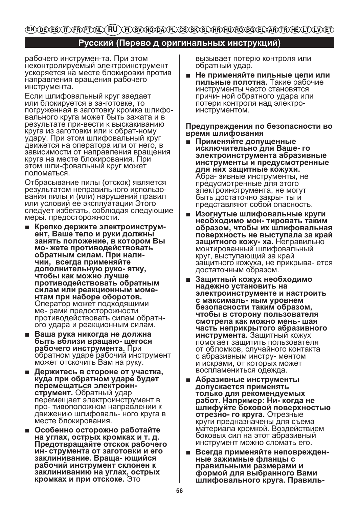(EN)(DE)(ES)(IT)(FR)(PT)(NL)( **RU**) (FI)(SV)(NO)(DA)(PL)(CS)(SK)(SL)(HR)(HU)(RO)(BG)(EL)(AR)(TR)(HE)(LT)(LV)(ET)

# **Русский (Перево д оригинальных инструкций)**

рабочего инструмен-та. При этом неконтролируемый электроинструмент ускоряется на месте блокировки против направления вращения рабочего инструмента.

Если шлифовальный круг заедает или блокируется в за-готовке, то погруженная в заготовку кромка шлифовального круга может быть зажата и в результате при-вести к выскакиванию круга из заготовки или к обрат-ному удару. При этом шлифовальный круг движется на оператора или от него, в зависимости от направления вращения круга на месте блокирования. При этом шли-фовальный круг может поломаться.

Отбрасывание пилы (отскок) является результатом неправильного использования пилы и (или) нарушений правил или условий ее эксплуатации Этого следует избегать, соблюдая следующие меры. предосторожности.

- **Крепко держите электроинструмент, Ваше тело и руки должны занять положение, в котором Вы мо- жете противодействовать обратным силам. При наличии, всегда применяйте дополнительную руко- ятку, чтобы как можно лучше противодействовать обратным силам или реакционным моментам при наборе оборотов.**  Оператор может подходящими ме- рами предосторожности противодействовать силам обратного удара и реакционным силам.
- **Ваша рука никогда не должна быть вблизи вращаю- щегося рабочего инструмента.** При обратном ударе рабочий инструмент может отскочить Вам на руку.
- **Держитесь в стороне от участка, куда при обратном ударе будет перемещаться электроинструмент.** Обратный удар перемещает электроинструмент в про- тивоположном направлении к движению шлифоваль- ного круга в месте блокирования.
- **Особенно осторожно работайте на углах, острых кромках и т. д. Предотвращайте отскок рабочего ин- струмента от заготовки и его заклинивание. Враща- ющийся рабочий инструмент склонен к заклиниванию на углах, острых кромках и при отскоке.** Это

вызывает потерю контроля или обратный удар.

■ **Не применяйте пильные цепи или пильные полотна.** Такие рабочие инструменты часто становятся причи- ной обратного удара или потери контроля над электроинструментом.

### **Предупреждения по безопасности во время шлифования**

- **Применяйте допущенные исключительно для Ваше- го электроинструмента абразивные инструменты и предусмотренные для них защитные кожухи.**  Абра- зивные инструменты, не предусмотренные для этого электроинструмента, не могут быть достаточно закры- ты и представляют собой опасность.
- **Изогнутые шлифовальные круги необходимо мон- тировать таким образом, чтобы их шлифовальная поверхность не выступала за край защитного кожу- ха.** Неправильно монтированный шлифовальный круг, выступающий за край защитного кожуха, не прикрыва- ется достаточным образом.
- **Защитный кожух необходимо надежно установить на электроинструменте и настроить с максималь- ным уровнем безопасности таким образом, чтобы в сторону пользователя смотрела как можно мень- шая часть неприкрытого абразивного инструмента.** Защитный кожух помогает защитить пользователя от обломков, случайного контакта с абразивным инстру- ментом и искрами, от которых может воспламениться одежда.
- **Абразивные инструменты допускается применять только для рекомендуемых работ. Например: Ни- когда не шлифуйте боковой поверхностью отрезно- го круга.** Отрезные круги предназначены для съема материала кромкой. Воздействием боковых сил на этот абразивный инструмент можно сломать его.
- **Всегда применяйте неповрежденные зажимные фланцы с правильными размерами и формой для выбранного Вами шлифовального круга. Правиль-**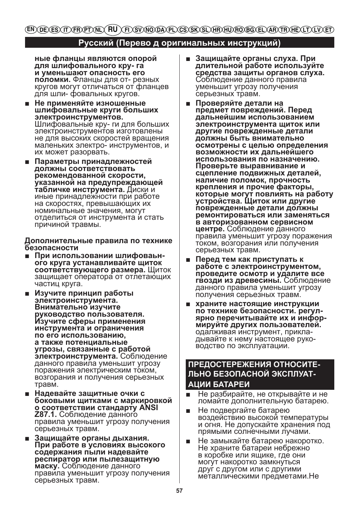# (EN) DE) ES) (IT) FR) PT) (NL) (FL) SV) NO (DA) PL) CS) SK) SL) HR) HU) RO) BG) EL) AR) (TR) HE) LT) (LV) (ET)

# Русский (Перево д оригинальных инструкций)

ные фланцы являются опорой для шлифовального кру- га и уменьшают опасность его поломки. Фланцы для от- резных кругов могут отличаться от фланцев для шли- фовальных кругов.

- Не применяйте изношенные шлифовальные круги больших электроинструментов. Шлифовальные кру- ги для больших электроинструментов изготовлены не для высоких скоростей вращения маленьких электро- инструментов, и их может разорвать.
- Параметры принадлежностей должны соответствовать рекомендованной скорости, указанной на предупреждающей табличке инструмента. Диски и иные принадлежности при работе на скоростях, превышающих их номинальные значения, могут отделиться от инструмента и стать причиной травмы.

Дополнительные правила по технике безопасности

- При использовании шлифоваьного круга устанавливайте шиток соответствующего размера. Щиток защищает оператора от отлетающих частиц круга.
- Изучите принцип работы электроинструмента. Внимательно изучите руководство пользователя.<br>Изучите сферы применения инструмента и ограничения по его использованию, а также потенциальные угрозы, связанные с работой электроинструмента. Соблюдение данного правила уменьшит угрозу поражения электрическим током, возгорания и получения серьезных травм.
- Надевайте защитные очки с боковыми щитками с маркировкой о соответствии стандарту ANSI **Z87.1.** Соблюдение данного правила уменьшит угрозу получения серьезных травм.
- Зашишайте органы дыхания. При работе в условиях высокого содержания пыли надевайте респиратор или пылезащитную маску. Соблюдение данного правила уменьшит угрозу получения серьезных травм.
- Защищайте органы слуха. При  $\blacksquare$ длительной работе используйте средства защиты органов слуха.<br>Соблюдение данного правила уменьшит угрозу получения серьезных травм.
- Проверяйте детали на предмет повреждений. Перед дальнейшим использованием электроинструмента щиток или другие поврежденные детали должны быть внимательно осмотрены с целью определения возможности их дальнейшего использования по назначению. Проверьте выравнивание и сцепление подвижных деталей, наличие поломок, прочность крепления и прочие факторы, которые могут повлиять на работу устройства. Щиток или другие поврежденные детали должны ремонтироваться или заменяться в авторизованном сервисном центре. Соблюдение данного правила уменьшит угрозу поражения током, возгорания или получения серьезных травм.
- Перед тем как приступать к п. работе с электроинструментом, проведите осмотр и удалите все гвозди из древесины. Соблюдение данного правила уменьшит угрозу получения серьезных травм.
- храните настоящие инструкции по технике безопасности. регулярно перечитывайте их и информируйте других пользователей. одалживая инструмент, прикладывайте к нему настоящее руководство по эксплуатации.

# ПРЕДОСТЕРЕЖЕНИЯ ОТНОСИТЕ-ЛЬНО БЕЗОПАСНОЙ ЭКСПЛУАТ-АЦИИ БАТАРЕИ

- Не разбирайте, не открывайте и не ломайте дополнительную батарею.
- Не подвергайте батарею воздействию высокой температуры и огня. Не допускайте хранения под прямыми солнечными лучами.
- Не замыкайте батарею накоротко. Не храните батареи небрежно в коробке или ящике, где они могут накоротко замкнуться друѓ с другом или с другими металлическими предметами. Не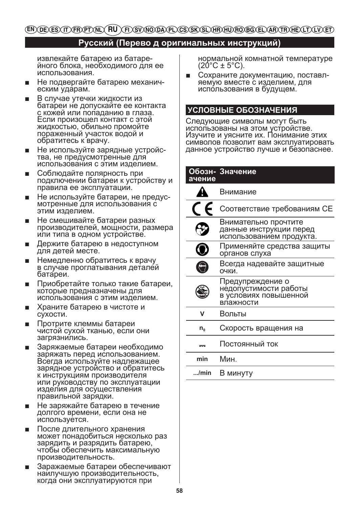# (EN) DE) ES) (IT) FR) PT) NL) (FL) RT) ST) NTO DA) PL) CS) ST) SL) HR) HTU) FTO BG) EL) AR) (TR) HE) (LT) (LT)

# **Русский (Перево д оригинальных инструкций)**

извлекайте батарею из батарейного блока, необходимого для ее использования.

- Не подвергайте батарею механическим ударам.
- В случае утечки жидкости из батареи не допускайте ее контакта с кожей или попаданию в глаза. Если произошел контакт с этой жидкостью, обильно промойте пораженный участок водой и обратитесь к врачу.
- Не используйте зарядные устройства, не предусмотренные для использования с этим изделием.
- Соблюдайте полярность при подключении батареи к устройству и правила ее эксплуатации.
- Не используйте батареи, не предусмотренные для использования с этим изделием.
- Не смешивайте батареи разных производителей, мощности, размера или типа в одном устройстве.
- Держите батарею в недоступном для детей месте.
- Немедленно обратитесь к врачу в случае проглатывания деталей батареи.
- Приобретайте только такие батареи, которые предназначены для использования с этим изделием.
- Храните батарею в чистоте и сухости.
- Протрите клеммы батареи чистой сухой тканью, если они загрязнились.
- Заряжаемые батареи необходимо заряжать перед использованием. Всегда используйте надлежащее зарядное устройство и обратитесь к инструкциям производителя или руководству по эксплуатации изделия для осуществления правильной зарядки.
- Не заряжайте батарею в течение долгого времени, если она не используется.
- После длительного хранения может понадобиться несколько раз зарядить и разрядить батарею, чтобы обеспечить максимальную производительность.
- Заражаемые батареи обеспечивают наилучшую производительность, когда они эксплуатируются при

нормальной комнатной температуре  $(20^{\circ}C \pm 5^{\circ}C)$ .

Сохраните документацию, поставляемую вместе с изделием, для использования в будущем.

# **УСЛОВНЫЕ ОБОЗНАЧЕНИЯ**

Следующие символы могут быть использованы на этом устройстве. Изучите и уясните их. Понимание этих символов позволит вам эксплуатировать данное устройство лучше и безопаснее.

# **Обозн-Значение ачение**

|         | Внимание                                                                        |
|---------|---------------------------------------------------------------------------------|
|         | Соответствие требованиям СЕ                                                     |
|         | Внимательно прочтите<br>данные инструкции перед<br>использованием продукта.     |
|         | Применяйте средства защиты<br>органов слуха                                     |
|         | Всегда надевайте защитные<br>очки.                                              |
|         | Предупреждение о<br>недопустимости работы<br>в условиях повышенной<br>влажности |
|         | Вольты                                                                          |
| $n_{o}$ | Скорость вращения на                                                            |
|         | Постоянный ток                                                                  |
| min     | Мин.                                                                            |

**.../min** В минуту